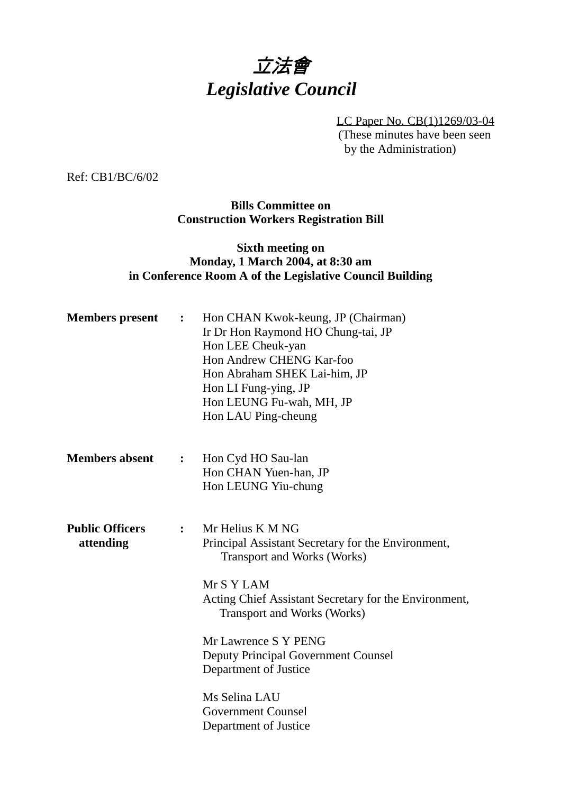## 立法會 *Legislative Council*

LC Paper No. CB(1)1269/03-04 (These minutes have been seen by the Administration)

Ref: CB1/BC/6/02

**Bills Committee on Construction Workers Registration Bill**

## **Sixth meeting on Monday, 1 March 2004, at 8:30 am in Conference Room A of the Legislative Council Building**

| <b>Members</b> present              | $\ddot{\bullet}$ | Hon CHAN Kwok-keung, JP (Chairman)<br>Ir Dr Hon Raymond HO Chung-tai, JP<br>Hon LEE Cheuk-yan<br>Hon Andrew CHENG Kar-foo<br>Hon Abraham SHEK Lai-him, JP<br>Hon LI Fung-ying, JP<br>Hon LEUNG Fu-wah, MH, JP<br>Hon LAU Ping-cheung                                                                                                                                   |
|-------------------------------------|------------------|------------------------------------------------------------------------------------------------------------------------------------------------------------------------------------------------------------------------------------------------------------------------------------------------------------------------------------------------------------------------|
| <b>Members absent</b>               | $\ddot{\bullet}$ | Hon Cyd HO Sau-lan<br>Hon CHAN Yuen-han, JP<br>Hon LEUNG Yiu-chung                                                                                                                                                                                                                                                                                                     |
| <b>Public Officers</b><br>attending | $\ddot{\cdot}$   | Mr Helius K M NG<br>Principal Assistant Secretary for the Environment,<br><b>Transport and Works (Works)</b><br>Mr S Y LAM<br>Acting Chief Assistant Secretary for the Environment,<br><b>Transport and Works (Works)</b><br>Mr Lawrence S Y PENG<br><b>Deputy Principal Government Counsel</b><br>Department of Justice<br>Ms Selina LAU<br><b>Government Counsel</b> |
|                                     |                  | Department of Justice                                                                                                                                                                                                                                                                                                                                                  |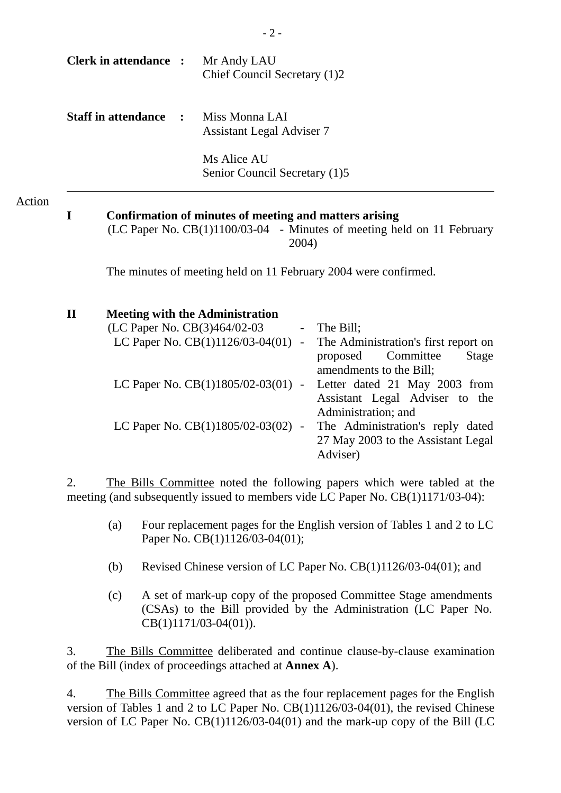|               |              | <b>Clerk in attendance :</b> |                      | Mr Andy LAU<br>Chief Council Secretary (1)2                                                                  |                              |                                                                                                                       |
|---------------|--------------|------------------------------|----------------------|--------------------------------------------------------------------------------------------------------------|------------------------------|-----------------------------------------------------------------------------------------------------------------------|
|               |              | <b>Staff in attendance</b>   | $\ddot{\phantom{1}}$ | Miss Monna LAI<br><b>Assistant Legal Adviser 7</b>                                                           |                              |                                                                                                                       |
|               |              |                              |                      | Ms Alice AU<br>Senior Council Secretary (1)5                                                                 |                              |                                                                                                                       |
| <b>Action</b> | I            |                              |                      | Confirmation of minutes of meeting and matters arising                                                       | 2004)                        | (LC Paper No. CB(1)1100/03-04 - Minutes of meeting held on 11 February                                                |
|               |              |                              |                      |                                                                                                              |                              | The minutes of meeting held on 11 February 2004 were confirmed.                                                       |
|               | $\mathbf{I}$ |                              |                      | <b>Meeting with the Administration</b><br>(LC Paper No. CB(3)464/02-03<br>LC Paper No. $CB(1)1126/03-04(01)$ | $\sim$ $-$<br>$\blacksquare$ | The Bill;<br>The Administration's first report on<br>Committee<br><b>Stage</b><br>proposed<br>amendments to the Bill; |
|               |              |                              |                      | LC Paper No. $CB(1)1805/02-03(01)$ -                                                                         |                              | Letter dated 21 May 2003 from<br>Assistant Legal Adviser to the<br>Administration; and                                |
|               |              |                              |                      | LC Paper No. CB(1)1805/02-03(02) -                                                                           |                              | The Administration's reply dated<br>27 May 2003 to the Assistant Legal                                                |

2. The Bills Committee noted the following papers which were tabled at the meeting (and subsequently issued to members vide LC Paper No. CB(1)1171/03-04):

(a) Four replacement pages for the English version of Tables 1 and 2 to LC Paper No. CB(1)1126/03-04(01);

Adviser)

- (b) Revised Chinese version of LC Paper No. CB(1)1126/03-04(01); and
- (c) A set of mark-up copy of the proposed Committee Stage amendments (CSAs) to the Bill provided by the Administration (LC Paper No. CB(1)1171/03-04(01)).

3. The Bills Committee deliberated and continue clause-by-clause examination of the Bill (index of proceedings attached at **Annex A**).

4. The Bills Committee agreed that as the four replacement pages for the English version of Tables 1 and 2 to LC Paper No. CB(1)1126/03-04(01), the revised Chinese version of LC Paper No.  $CB(1)1126/03-04(01)$  and the mark-up copy of the Bill (LC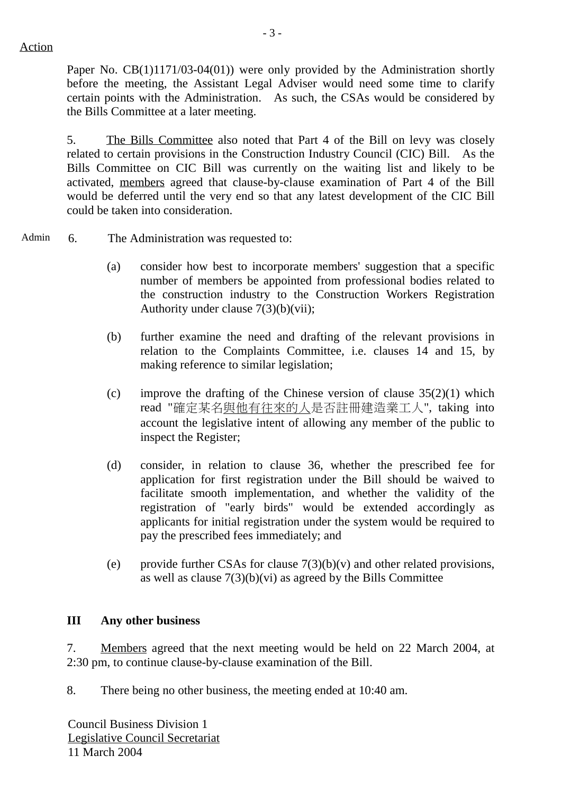Action

Paper No. CB(1)1171/03-04(01)) were only provided by the Administration shortly before the meeting, the Assistant Legal Adviser would need some time to clarify certain points with the Administration. As such, the CSAs would be considered by the Bills Committee at a later meeting.

5. The Bills Committee also noted that Part 4 of the Bill on levy was closely related to certain provisions in the Construction Industry Council (CIC) Bill. As the Bills Committee on CIC Bill was currently on the waiting list and likely to be activated, members agreed that clause-by-clause examination of Part 4 of the Bill would be deferred until the very end so that any latest development of the CIC Bill could be taken into consideration.

Admin 6. The Administration was requested to:

- (a) consider how best to incorporate members' suggestion that a specific number of members be appointed from professional bodies related to the construction industry to the Construction Workers Registration Authority under clause 7(3)(b)(vii);
- (b) further examine the need and drafting of the relevant provisions in relation to the Complaints Committee, i.e. clauses 14 and 15, by making reference to similar legislation;
- (c) improve the drafting of the Chinese version of clause  $35(2)(1)$  which read "確定某名與他有往來的人是否註冊建造業工人", taking into account the legislative intent of allowing any member of the public to inspect the Register;
- (d) consider, in relation to clause 36, whether the prescribed fee for application for first registration under the Bill should be waived to facilitate smooth implementation, and whether the validity of the registration of "early birds" would be extended accordingly as applicants for initial registration under the system would be required to pay the prescribed fees immediately; and
- (e) provide further CSAs for clause  $7(3)(b)(v)$  and other related provisions, as well as clause  $7(3)(b)(vi)$  as agreed by the Bills Committee

## **III Any other business**

7. Members agreed that the next meeting would be held on 22 March 2004, at 2:30 pm, to continue clause-by-clause examination of the Bill.

8. There being no other business, the meeting ended at 10:40 am.

Council Business Division 1 Legislative Council Secretariat 11 March 2004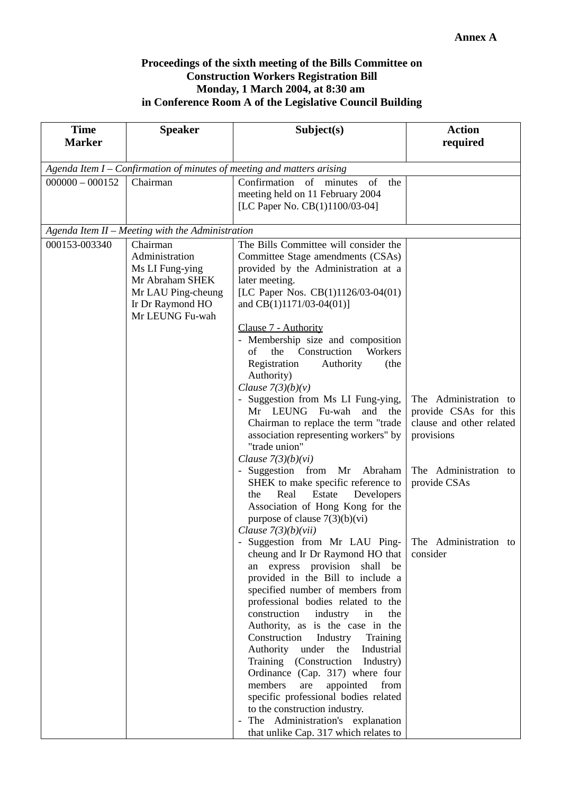## **Proceedings of the sixth meeting of the Bills Committee on Construction Workers Registration Bill Monday, 1 March 2004, at 8:30 am in Conference Room A of the Legislative Council Building**

| <b>Time</b>                                                            | <b>Speaker</b>                                                                                                    | Subject(s)                                                                                                                                                                                                                                                                                                                                                                                                                                                                                                                                                                                                                                                                                                | <b>Action</b>                                                                            |  |  |
|------------------------------------------------------------------------|-------------------------------------------------------------------------------------------------------------------|-----------------------------------------------------------------------------------------------------------------------------------------------------------------------------------------------------------------------------------------------------------------------------------------------------------------------------------------------------------------------------------------------------------------------------------------------------------------------------------------------------------------------------------------------------------------------------------------------------------------------------------------------------------------------------------------------------------|------------------------------------------------------------------------------------------|--|--|
| <b>Marker</b>                                                          |                                                                                                                   |                                                                                                                                                                                                                                                                                                                                                                                                                                                                                                                                                                                                                                                                                                           | required                                                                                 |  |  |
| Agenda Item I – Confirmation of minutes of meeting and matters arising |                                                                                                                   |                                                                                                                                                                                                                                                                                                                                                                                                                                                                                                                                                                                                                                                                                                           |                                                                                          |  |  |
| $000000 - 000152$                                                      | Chairman                                                                                                          | Confirmation of minutes<br>of<br>the<br>meeting held on 11 February 2004<br>[LC Paper No. CB(1)1100/03-04]                                                                                                                                                                                                                                                                                                                                                                                                                                                                                                                                                                                                |                                                                                          |  |  |
|                                                                        | Agenda Item II - Meeting with the Administration                                                                  |                                                                                                                                                                                                                                                                                                                                                                                                                                                                                                                                                                                                                                                                                                           |                                                                                          |  |  |
| 000153-003340                                                          | Chairman                                                                                                          | The Bills Committee will consider the                                                                                                                                                                                                                                                                                                                                                                                                                                                                                                                                                                                                                                                                     |                                                                                          |  |  |
|                                                                        | Administration<br>Ms LI Fung-ying<br>Mr Abraham SHEK<br>Mr LAU Ping-cheung<br>Ir Dr Raymond HO<br>Mr LEUNG Fu-wah | Committee Stage amendments (CSAs)<br>provided by the Administration at a<br>later meeting.<br>[LC Paper Nos. CB(1)1126/03-04(01)<br>and CB(1)1171/03-04(01)]                                                                                                                                                                                                                                                                                                                                                                                                                                                                                                                                              |                                                                                          |  |  |
|                                                                        |                                                                                                                   | Clause 7 - Authority<br>- Membership size and composition<br>the Construction<br>Workers<br>of<br>Registration<br>Authority<br>(the<br>Authority)<br>Clause $7(3)(b)(v)$                                                                                                                                                                                                                                                                                                                                                                                                                                                                                                                                  |                                                                                          |  |  |
|                                                                        |                                                                                                                   | - Suggestion from Ms LI Fung-ying,<br>Mr LEUNG Fu-wah<br>and the<br>Chairman to replace the term "trade<br>association representing workers" by<br>"trade union"<br>Clause $7(3)(b)(vi)$                                                                                                                                                                                                                                                                                                                                                                                                                                                                                                                  | The Administration to<br>provide CSAs for this<br>clause and other related<br>provisions |  |  |
|                                                                        |                                                                                                                   | - Suggestion from Mr Abraham<br>SHEK to make specific reference to<br>Estate<br>Developers<br>Real<br>the<br>Association of Hong Kong for the<br>purpose of clause $7(3)(b)(vi)$<br>Clause $7(3)(b)(vii)$                                                                                                                                                                                                                                                                                                                                                                                                                                                                                                 | The Administration to<br>provide CSAs                                                    |  |  |
|                                                                        |                                                                                                                   | Suggestion from Mr LAU Ping- The Administration to<br>cheung and Ir Dr Raymond HO that<br>express provision<br>shall be<br>an<br>provided in the Bill to include a<br>specified number of members from<br>professional bodies related to the<br>construction<br>industry<br>in<br>the<br>Authority, as is the case in the<br>Construction<br>Industry<br>Training<br>Authority under the<br>Industrial<br>Training (Construction<br>Industry)<br>Ordinance (Cap. 317) where four<br>members<br>appointed<br>from<br>are<br>specific professional bodies related<br>to the construction industry.<br>The Administration's explanation<br>$\overline{\phantom{a}}$<br>that unlike Cap. 317 which relates to | consider                                                                                 |  |  |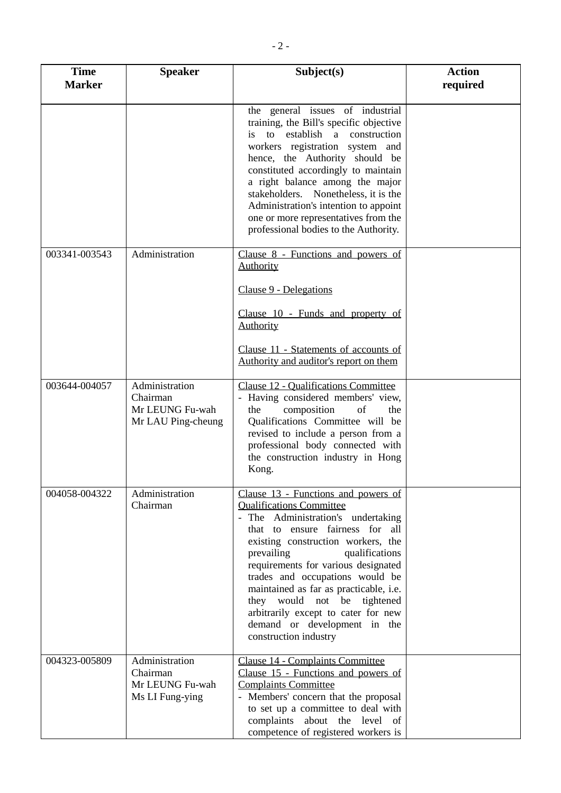| <b>Time</b><br><b>Marker</b> | <b>Speaker</b>                                                      | Subject(s)                                                                                                                                                                                                                                                                                                                                                                                                                                                               | <b>Action</b><br>required |
|------------------------------|---------------------------------------------------------------------|--------------------------------------------------------------------------------------------------------------------------------------------------------------------------------------------------------------------------------------------------------------------------------------------------------------------------------------------------------------------------------------------------------------------------------------------------------------------------|---------------------------|
|                              |                                                                     | the general issues of industrial<br>training, the Bill's specific objective<br>is to establish a construction<br>workers registration system and<br>hence, the Authority should be<br>constituted accordingly to maintain<br>a right balance among the major<br>stakeholders. Nonetheless, it is the<br>Administration's intention to appoint<br>one or more representatives from the<br>professional bodies to the Authority.                                           |                           |
| 003341-003543                | Administration                                                      | Clause 8 - Functions and powers of<br><b>Authority</b><br>Clause 9 - Delegations<br>Clause 10 - Funds and property of<br><b>Authority</b>                                                                                                                                                                                                                                                                                                                                |                           |
|                              |                                                                     | Clause 11 - Statements of accounts of<br>Authority and auditor's report on them                                                                                                                                                                                                                                                                                                                                                                                          |                           |
| 003644-004057                | Administration<br>Chairman<br>Mr LEUNG Fu-wah<br>Mr LAU Ping-cheung | <b>Clause 12 - Qualifications Committee</b><br>- Having considered members' view,<br>composition<br>of<br>the<br>the<br>Qualifications Committee will be<br>revised to include a person from a<br>professional body connected with<br>the construction industry in Hong<br>Kong.                                                                                                                                                                                         |                           |
| 004058-004322                | Administration<br>Chairman                                          | Clause 13 - Functions and powers of<br><b>Qualifications Committee</b><br>- The Administration's undertaking<br>that to ensure fairness for all<br>existing construction workers, the<br>prevailing<br>qualifications<br>requirements for various designated<br>trades and occupations would be<br>maintained as far as practicable, i.e.<br>they would not be tightened<br>arbitrarily except to cater for new<br>demand or development in the<br>construction industry |                           |
| 004323-005809                | Administration<br>Chairman<br>Mr LEUNG Fu-wah<br>Ms LI Fung-ying    | Clause 14 - Complaints Committee<br>Clause 15 - Functions and powers of<br><b>Complaints Committee</b><br>- Members' concern that the proposal<br>to set up a committee to deal with<br>complaints about the level of<br>competence of registered workers is                                                                                                                                                                                                             |                           |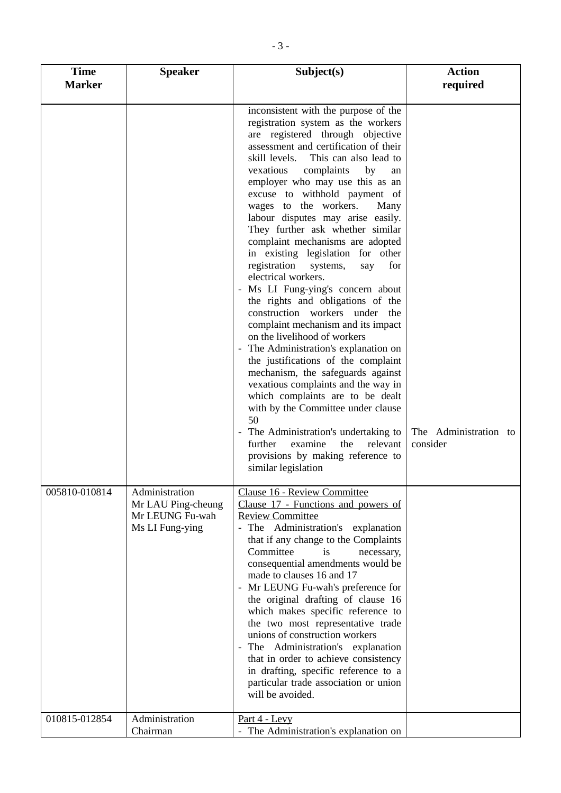| <b>Time</b><br><b>Marker</b> | <b>Speaker</b>                                                             | Subject(s)                                                                                                                                                                                                                                                                                                                                                                                                                                                                                                                                                                                                                                                                                                                                                                                                                                                                                                                                                                                                                                                                                                                                      | <b>Action</b><br>required         |  |
|------------------------------|----------------------------------------------------------------------------|-------------------------------------------------------------------------------------------------------------------------------------------------------------------------------------------------------------------------------------------------------------------------------------------------------------------------------------------------------------------------------------------------------------------------------------------------------------------------------------------------------------------------------------------------------------------------------------------------------------------------------------------------------------------------------------------------------------------------------------------------------------------------------------------------------------------------------------------------------------------------------------------------------------------------------------------------------------------------------------------------------------------------------------------------------------------------------------------------------------------------------------------------|-----------------------------------|--|
|                              |                                                                            | inconsistent with the purpose of the<br>registration system as the workers<br>are registered through objective<br>assessment and certification of their<br>skill levels.<br>This can also lead to<br>vexatious<br>complaints<br>by<br>an<br>employer who may use this as an<br>excuse to withhold payment of<br>wages to the workers.<br>Many<br>labour disputes may arise easily.<br>They further ask whether similar<br>complaint mechanisms are adopted<br>in existing legislation for other<br>registration<br>for<br>systems,<br>say<br>electrical workers.<br>- Ms LI Fung-ying's concern about<br>the rights and obligations of the<br>construction workers under<br>the<br>complaint mechanism and its impact<br>on the livelihood of workers<br>- The Administration's explanation on<br>the justifications of the complaint<br>mechanism, the safeguards against<br>vexatious complaints and the way in<br>which complaints are to be dealt<br>with by the Committee under clause<br>50<br>- The Administration's undertaking to<br>examine<br>the<br>further<br>relevant<br>provisions by making reference to<br>similar legislation | The Administration to<br>consider |  |
| 005810-010814                | Administration<br>Mr LAU Ping-cheung<br>Mr LEUNG Fu-wah<br>Ms LI Fung-ying | Clause 16 - Review Committee<br>Clause 17 - Functions and powers of<br><b>Review Committee</b><br>- The Administration's explanation<br>that if any change to the Complaints<br>Committee<br>is<br>necessary,<br>consequential amendments would be<br>made to clauses 16 and 17<br>- Mr LEUNG Fu-wah's preference for<br>the original drafting of clause 16<br>which makes specific reference to<br>the two most representative trade<br>unions of construction workers<br>The Administration's explanation<br>$\overline{\phantom{a}}$<br>that in order to achieve consistency<br>in drafting, specific reference to a<br>particular trade association or union<br>will be avoided.                                                                                                                                                                                                                                                                                                                                                                                                                                                            |                                   |  |
| 010815-012854                | Administration<br>Chairman                                                 | Part 4 - Levy<br>- The Administration's explanation on                                                                                                                                                                                                                                                                                                                                                                                                                                                                                                                                                                                                                                                                                                                                                                                                                                                                                                                                                                                                                                                                                          |                                   |  |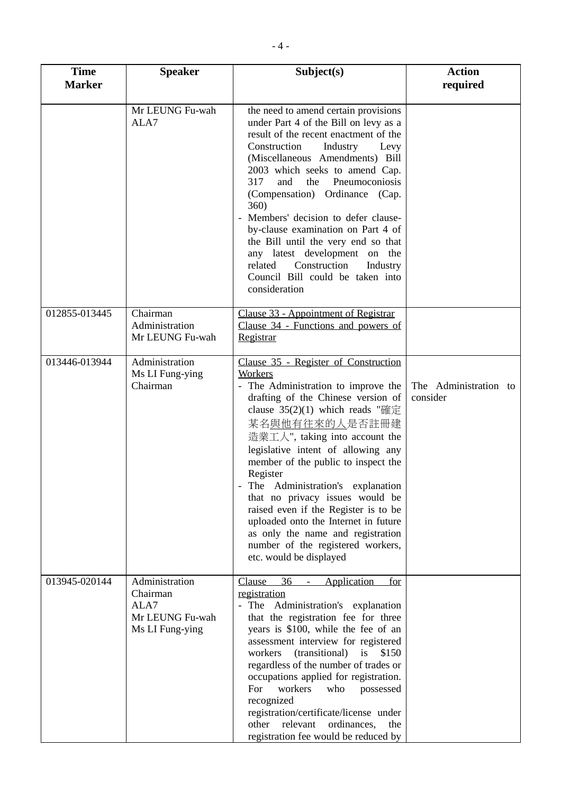| <b>Time</b><br><b>Marker</b> | Subject(s)<br><b>Speaker</b>                                             |                                                                                                                                                                                                                                                                                                                                                                                                                                                                                                                                                                            | <b>Action</b><br>required         |
|------------------------------|--------------------------------------------------------------------------|----------------------------------------------------------------------------------------------------------------------------------------------------------------------------------------------------------------------------------------------------------------------------------------------------------------------------------------------------------------------------------------------------------------------------------------------------------------------------------------------------------------------------------------------------------------------------|-----------------------------------|
|                              | Mr LEUNG Fu-wah<br>ALA7                                                  | the need to amend certain provisions<br>under Part 4 of the Bill on levy as a<br>result of the recent enactment of the<br>Construction<br>Industry<br>Levy<br>(Miscellaneous Amendments) Bill<br>2003 which seeks to amend Cap.<br>Pneumoconiosis<br>317<br>and<br>the<br>(Compensation) Ordinance (Cap.<br>360)<br>- Members' decision to defer clause-<br>by-clause examination on Part 4 of<br>the Bill until the very end so that<br>any latest development on the<br>Construction<br>related<br>Industry<br>Council Bill could be taken into<br>consideration         |                                   |
| 012855-013445                | Chairman<br>Administration<br>Mr LEUNG Fu-wah                            | Clause 33 - Appointment of Registrar<br>Clause 34 - Functions and powers of<br>Registrar                                                                                                                                                                                                                                                                                                                                                                                                                                                                                   |                                   |
| 013446-013944                | Administration<br>Ms LI Fung-ying<br>Chairman                            | Clause 35 - Register of Construction<br>Workers<br>- The Administration to improve the<br>drafting of the Chinese version of<br>clause $35(2)(1)$ which reads "確定<br>某名與他有往來的人是否註冊建<br>造業工人", taking into account the<br>legislative intent of allowing any<br>member of the public to inspect the<br>Register<br>The Administration's explanation<br>that no privacy issues would be<br>raised even if the Register is to be<br>uploaded onto the Internet in future<br>as only the name and registration<br>number of the registered workers,<br>etc. would be displayed | The Administration to<br>consider |
| 013945-020144                | Administration<br>Chairman<br>ALA7<br>Mr LEUNG Fu-wah<br>Ms LI Fung-ying | 36<br>Application<br><b>Clause</b><br>for<br>registration<br>- The Administration's explanation<br>that the registration fee for three<br>years is \$100, while the fee of an<br>assessment interview for registered<br>workers<br>(transitional)<br>is<br>\$150<br>regardless of the number of trades or<br>occupations applied for registration.<br>For<br>workers<br>who<br>possessed<br>recognized<br>registration/certificate/license under<br>ordinances,<br>relevant<br>other<br>the<br>registration fee would be reduced by                                        |                                   |